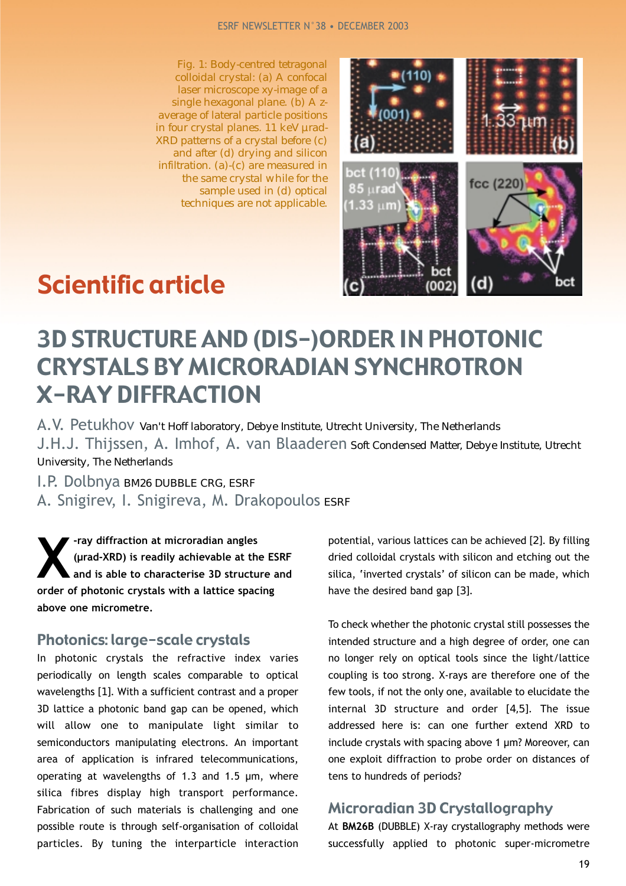*Fig. 1: Body-centred tetragonal colloidal crystal: (a) A confocal laser microscope xy-image of a single hexagonal plane. (b) A zaverage of lateral particle positions in four crystal planes. 11 keV µrad-XRD patterns of a crystal before (c) and after (d) drying and silicon infiltration. (a)-(c) are measured in the same crystal while for the sample used in (d) optical techniques are not applicable.*



# Scientific article

## 3D STRUCTURE AND (DIS-)ORDER IN PHOTONIC CRYSTALS BY MICRORADIAN SYNCHROTRON X-RAY DIFFRACTION

A.V. Petukhov *Van't Hoff laboratory, Debye Institute, Utrecht University, The Netherlands* J.H.J. Thijssen, A. Imhof, A. van Blaaderen *Soft Condensed Matter, Debye Institute, Utrecht University, The Netherlands*

I.P. Dolbnya *BM26 DUBBLE CRG, ESRF* A. Snigirev, I. Snigireva, M. Drakopoulos *ESRF*

**X**-ray diffraction at microradian angles<br>
(µrad-XRD) is readily achievable at the<br>
and is able to characterise 3D structured<br>
and the hatanic angular with a lattice angular **(µrad-XRD) is readily achievable at the ESRF and is able to characterise 3D structure and order of photonic crystals with a lattice spacing above one micrometre.** 

#### Photonics: large-scale crystals

In photonic crystals the refractive index varies periodically on length scales comparable to optical wavelengths *[1]*. With a sufficient contrast and a proper 3D lattice a photonic band gap can be opened, which will allow one to manipulate light similar to semiconductors manipulating electrons. An important area of application is infrared telecommunications, operating at wavelengths of 1.3 and 1.5 µm, where silica fibres display high transport performance. Fabrication of such materials is challenging and one possible route is through self-organisation of colloidal particles. By tuning the interparticle interaction potential, various lattices can be achieved *[2]*. By filling dried colloidal crystals with silicon and etching out the silica, 'inverted crystals' of silicon can be made, which have the desired band gap *[3]*.

To check whether the photonic crystal still possesses the intended structure and a high degree of order, one can no longer rely on optical tools since the light/lattice coupling is too strong. X-rays are therefore one of the few tools, if not the only one, available to elucidate the internal 3D structure and order *[4,5]*. The issue addressed here is: can one further extend XRD to include crystals with spacing above 1 µm? Moreover, can one exploit diffraction to probe order on distances of tens to hundreds of periods?

#### Microradian 3D Crystallography

At **BM26B** (DUBBLE) X-ray crystallography methods were successfully applied to photonic super-micrometre